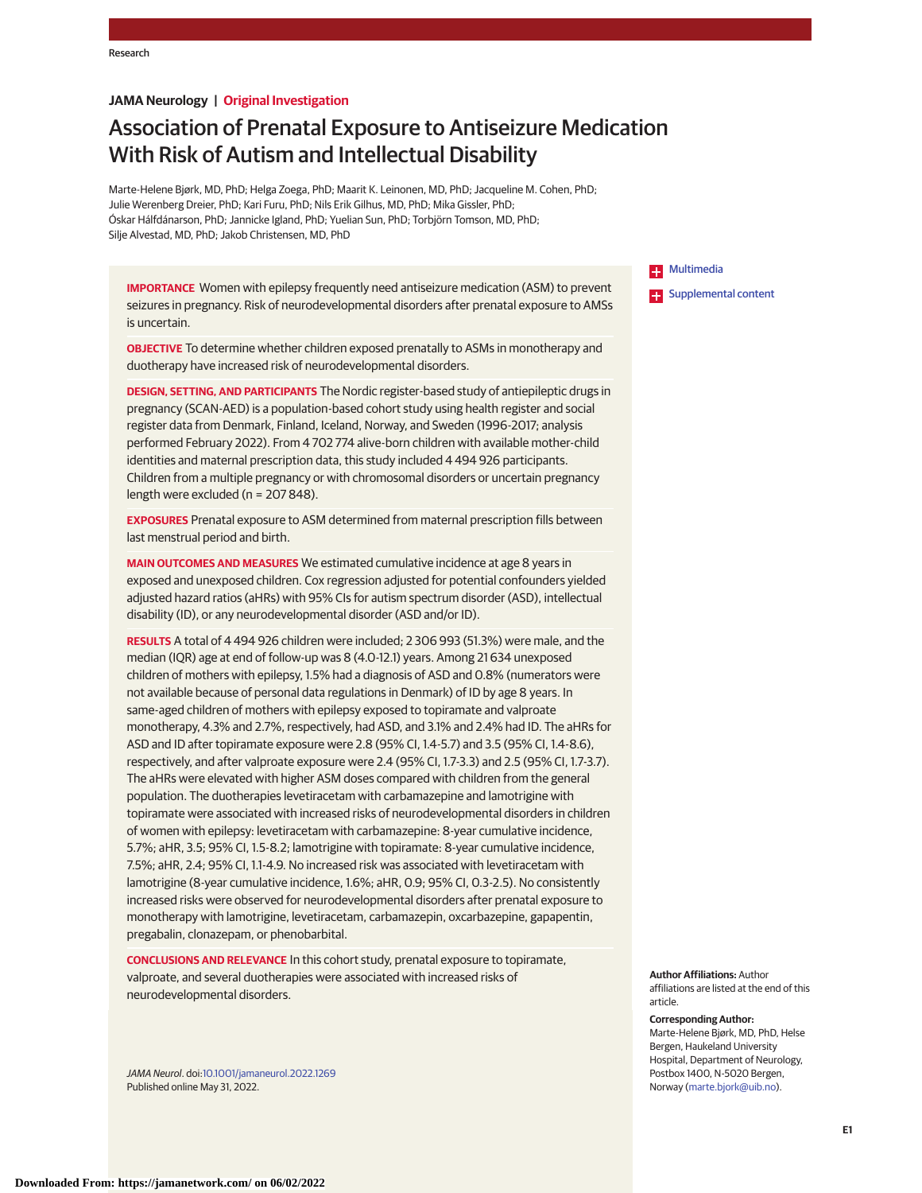## **JAMA Neurology | Original Investigation**

# Association of Prenatal Exposure to Antiseizure Medication With Risk of Autism and Intellectual Disability

Marte-Helene Bjørk, MD, PhD; Helga Zoega, PhD; Maarit K. Leinonen, MD, PhD; Jacqueline M. Cohen, PhD; Julie Werenberg Dreier, PhD; Kari Furu, PhD; Nils Erik Gilhus, MD, PhD; Mika Gissler, PhD; Óskar Hálfdánarson, PhD; Jannicke Igland, PhD; Yuelian Sun, PhD; Torbjörn Tomson, MD, PhD; Silje Alvestad, MD, PhD; Jakob Christensen, MD, PhD

**IMPORTANCE** Women with epilepsy frequently need antiseizure medication (ASM) to prevent seizures in pregnancy. Risk of neurodevelopmental disorders after prenatal exposure to AMSs is uncertain.

**OBJECTIVE** To determine whether children exposed prenatally to ASMs in monotherapy and duotherapy have increased risk of neurodevelopmental disorders.

**DESIGN, SETTING, AND PARTICIPANTS** The Nordic register-based study of antiepileptic drugs in pregnancy (SCAN-AED) is a population-based cohort study using health register and social register data from Denmark, Finland, Iceland, Norway, and Sweden (1996-2017; analysis performed February 2022). From 4 702 774 alive-born children with available mother-child identities and maternal prescription data, this study included 4 494 926 participants. Children from a multiple pregnancy or with chromosomal disorders or uncertain pregnancy length were excluded (n = 207 848).

**EXPOSURES** Prenatal exposure to ASM determined from maternal prescription fills between last menstrual period and birth.

**MAIN OUTCOMES AND MEASURES** We estimated cumulative incidence at age 8 years in exposed and unexposed children. Cox regression adjusted for potential confounders yielded adjusted hazard ratios (aHRs) with 95% CIs for autism spectrum disorder (ASD), intellectual disability (ID), or any neurodevelopmental disorder (ASD and/or ID).

**RESULTS** A total of 4 494 926 children were included; 2 306 993 (51.3%) were male, and the median (IQR) age at end of follow-up was 8 (4.0-12.1) years. Among 21 634 unexposed children of mothers with epilepsy, 1.5% had a diagnosis of ASD and 0.8% (numerators were not available because of personal data regulations in Denmark) of ID by age 8 years. In same-aged children of mothers with epilepsy exposed to topiramate and valproate monotherapy, 4.3% and 2.7%, respectively, had ASD, and 3.1% and 2.4% had ID. The aHRs for ASD and ID after topiramate exposure were 2.8 (95% CI, 1.4-5.7) and 3.5 (95% CI, 1.4-8.6), respectively, and after valproate exposure were 2.4 (95% CI, 1.7-3.3) and 2.5 (95% CI, 1.7-3.7). The aHRs were elevated with higher ASM doses compared with children from the general population. The duotherapies levetiracetam with carbamazepine and lamotrigine with topiramate were associated with increased risks of neurodevelopmental disorders in children of women with epilepsy: levetiracetam with carbamazepine: 8-year cumulative incidence, 5.7%; aHR, 3.5; 95% CI, 1.5-8.2; lamotrigine with topiramate: 8-year cumulative incidence, 7.5%; aHR, 2.4; 95% CI, 1.1-4.9. No increased risk was associated with levetiracetam with lamotrigine (8-year cumulative incidence, 1.6%; aHR, 0.9; 95% CI, 0.3-2.5). No consistently increased risks were observed for neurodevelopmental disorders after prenatal exposure to monotherapy with lamotrigine, levetiracetam, carbamazepin, oxcarbazepine, gapapentin, pregabalin, clonazepam, or phenobarbital.

**CONCLUSIONS AND RELEVANCE** In this cohort study, prenatal exposure to topiramate, valproate, and several duotherapies were associated with increased risks of neurodevelopmental disorders.

JAMA Neurol. doi[:10.1001/jamaneurol.2022.1269](https://jamanetwork.com/journals/jama/fullarticle/10.1001/jamaneurol.2022.1269?utm_campaign=articlePDF%26utm_medium=articlePDFlink%26utm_source=articlePDF%26utm_content=jamaneurol.2022.1269) Published online May 31, 2022.

**Example** [Multimedia](https://jamanetwork.com/journals/neu/fullarticle/10.1001/jamaneurol.2022.1269?utm_campaign=articlePDF%26utm_medium=articlePDFlink%26utm_source=articlePDF%26utm_content=jamaneurol.2022.1269) **Examplemental content** 

**Author Affiliations:** Author affiliations are listed at the end of this article.

**Corresponding Author:** Marte-Helene Bjørk, MD, PhD, Helse Bergen, Haukeland University Hospital, Department of Neurology, Postbox 1400, N-5020 Bergen, Norway [\(marte.bjork@uib.no\)](mailto:marte.bjork@uib.no).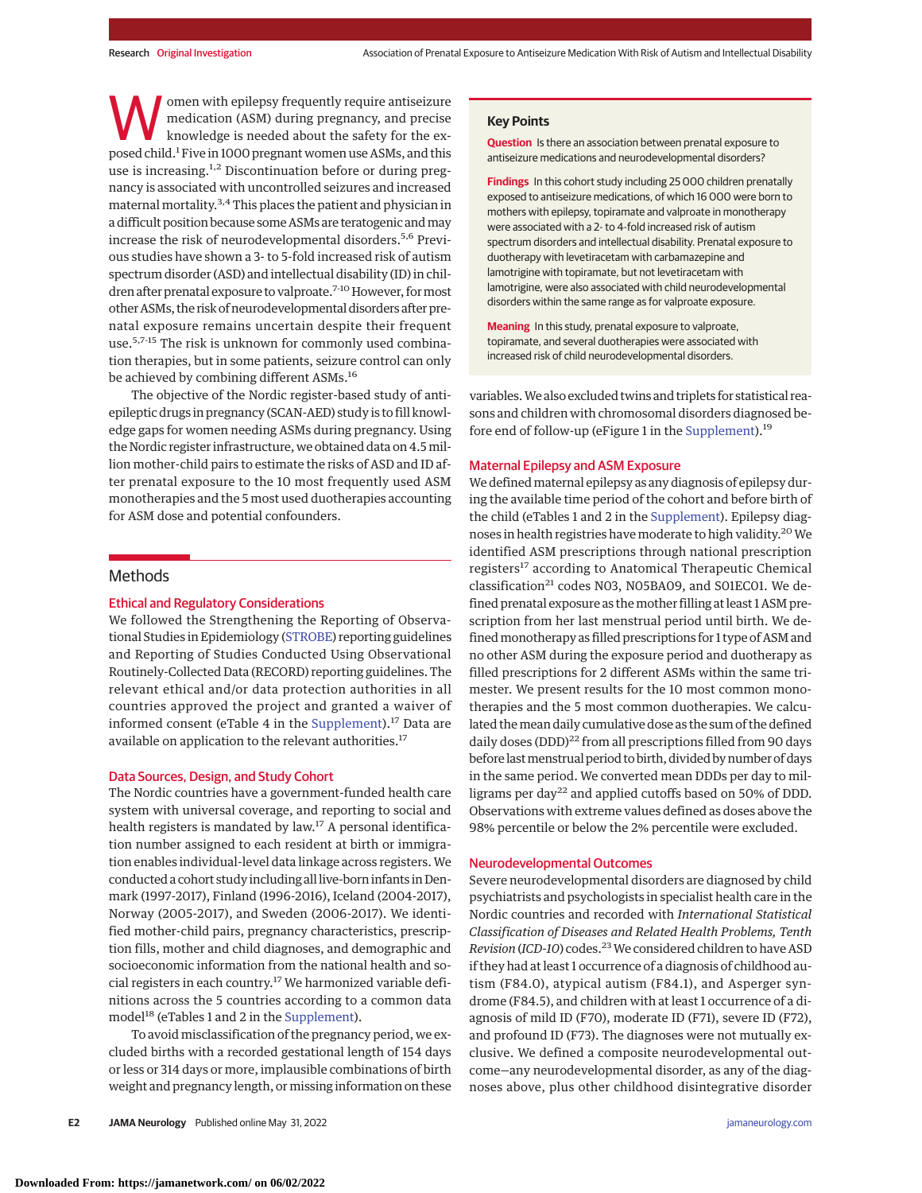omen with epilepsy frequently require antiseizure medication (ASM) during pregnancy, and precise knowledge is needed about the safety for the exposed child.<sup>1</sup> Five in 1000 pregnant women use ASMs, and this use is increasing.<sup>1,2</sup> Discontinuation before or during pregnancy is associated with uncontrolled seizures and increased maternal mortality.3,4This places the patient and physician in a difficult position because some ASMs are teratogenic andmay increase the risk of neurodevelopmental disorders.<sup>5,6</sup> Previous studies have shown a 3- to 5-fold increased risk of autism spectrum disorder (ASD) and intellectual disability (ID) in children after prenatal exposure to valproate.<sup>7-10</sup> However, for most other ASMs, the risk of neurodevelopmental disorders after prenatal exposure remains uncertain despite their frequent use.5,7-15 The risk is unknown for commonly used combination therapies, but in some patients, seizure control can only be achieved by combining different ASMs.<sup>16</sup>

The objective of the Nordic register-based study of antiepileptic drugs in pregnancy (SCAN-AED) study is to fill knowledge gaps for women needing ASMs during pregnancy. Using the Nordic register infrastructure, we obtained data on 4.5million mother-child pairs to estimate the risks of ASD and ID after prenatal exposure to the 10 most frequently used ASM monotherapies and the 5 most used duotherapies accounting for ASM dose and potential confounders.

## Methods

## Ethical and Regulatory Considerations

We followed the Strengthening the Reporting of Observational Studies in Epidemiology [\(STROBE\)](http://www.equator-network.org/reporting-guidelines/strobe/) reporting guidelines and Reporting of Studies Conducted Using Observational Routinely-Collected Data (RECORD) reporting guidelines. The relevant ethical and/or data protection authorities in all countries approved the project and granted a waiver of informed consent (eTable 4 in the [Supplement\)](https://jamanetwork.com/journals/jama/fullarticle/10.1001/jamaneurol.2022.1269?utm_campaign=articlePDF%26utm_medium=articlePDFlink%26utm_source=articlePDF%26utm_content=jamaneurol.2022.1269).<sup>17</sup> Data are available on application to the relevant authorities.<sup>17</sup>

#### Data Sources, Design, and Study Cohort

The Nordic countries have a government-funded health care system with universal coverage, and reporting to social and health registers is mandated by law.<sup>17</sup> A personal identification number assigned to each resident at birth or immigration enables individual-level data linkage across registers. We conducted a cohort study including all live-born infants in Denmark (1997-2017), Finland (1996-2016), Iceland (2004-2017), Norway (2005-2017), and Sweden (2006-2017). We identified mother-child pairs, pregnancy characteristics, prescription fills, mother and child diagnoses, and demographic and socioeconomic information from the national health and social registers in each country.<sup>17</sup> We harmonized variable definitions across the 5 countries according to a common data model<sup>18</sup> (eTables 1 and 2 in the [Supplement\)](https://jamanetwork.com/journals/jama/fullarticle/10.1001/jamaneurol.2022.1269?utm_campaign=articlePDF%26utm_medium=articlePDFlink%26utm_source=articlePDF%26utm_content=jamaneurol.2022.1269).

To avoid misclassification of the pregnancy period, we excluded births with a recorded gestational length of 154 days or less or 314 days or more, implausible combinations of birth weight and pregnancy length, or missing information on these

#### **Key Points**

**Question** Is there an association between prenatal exposure to antiseizure medications and neurodevelopmental disorders?

**Findings** In this cohort study including 25 000 children prenatally exposed to antiseizure medications, of which 16 000 were born to mothers with epilepsy, topiramate and valproate in monotherapy were associated with a 2- to 4-fold increased risk of autism spectrum disorders and intellectual disability. Prenatal exposure to duotherapy with levetiracetam with carbamazepine and lamotrigine with topiramate, but not levetiracetam with lamotrigine, were also associated with child neurodevelopmental disorders within the same range as for valproate exposure.

**Meaning** In this study, prenatal exposure to valproate, topiramate, and several duotherapies were associated with increased risk of child neurodevelopmental disorders.

variables.We also excluded twins and triplets for statistical reasons and children with chromosomal disorders diagnosed be-fore end of follow-up (eFigure 1 in the [Supplement\)](https://jamanetwork.com/journals/jama/fullarticle/10.1001/jamaneurol.2022.1269?utm_campaign=articlePDF%26utm_medium=articlePDFlink%26utm_source=articlePDF%26utm_content=jamaneurol.2022.1269).<sup>19</sup>

## Maternal Epilepsy and ASM Exposure

We defined maternal epilepsy as any diagnosis of epilepsy during the available time period of the cohort and before birth of the child (eTables 1 and 2 in the [Supplement\)](https://jamanetwork.com/journals/jama/fullarticle/10.1001/jamaneurol.2022.1269?utm_campaign=articlePDF%26utm_medium=articlePDFlink%26utm_source=articlePDF%26utm_content=jamaneurol.2022.1269). Epilepsy diagnoses in health registries have moderate to high validity.20We identified ASM prescriptions through national prescription registers<sup>17</sup> according to Anatomical Therapeutic Chemical classification<sup>21</sup> codes N03, N05BA09, and S01EC01. We defined prenatal exposure as themother filling at least 1 ASM prescription from her last menstrual period until birth. We defined monotherapy as filled prescriptions for 1 type of ASM and no other ASM during the exposure period and duotherapy as filled prescriptions for 2 different ASMs within the same trimester. We present results for the 10 most common monotherapies and the 5 most common duotherapies. We calculated themean daily cumulative dose as the sum of the defined daily doses (DDD)<sup>22</sup> from all prescriptions filled from 90 days before last menstrual period to birth, divided by number of days in the same period. We converted mean DDDs per day to milligrams per day<sup>22</sup> and applied cutoffs based on 50% of DDD. Observations with extreme values defined as doses above the 98% percentile or below the 2% percentile were excluded.

## Neurodevelopmental Outcomes

Severe neurodevelopmental disorders are diagnosed by child psychiatrists and psychologists in specialist health care in the Nordic countries and recorded with *International Statistical Classification of Diseases and Related Health Problems, Tenth Revision* (*ICD-10*) codes.23We considered children to have ASD if they had at least 1 occurrence of a diagnosis of childhood autism (F84.0), atypical autism (F84.1), and Asperger syndrome (F84.5), and children with at least 1 occurrence of a diagnosis of mild ID (F70), moderate ID (F71), severe ID (F72), and profound ID (F73). The diagnoses were not mutually exclusive. We defined a composite neurodevelopmental outcome—any neurodevelopmental disorder, as any of the diagnoses above, plus other childhood disintegrative disorder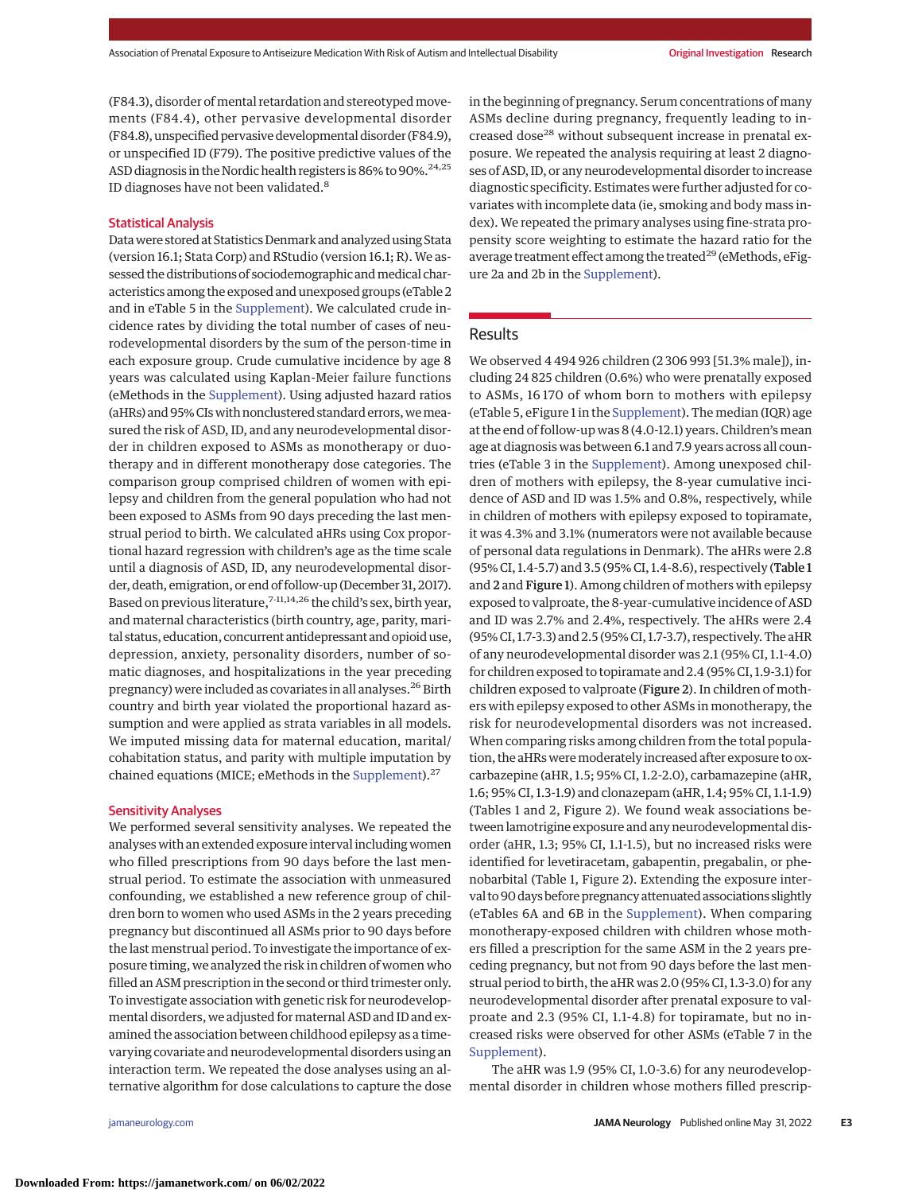(F84.3), disorder of mental retardation and stereotyped movements (F84.4), other pervasive developmental disorder (F84.8), unspecified pervasive developmental disorder (F84.9), or unspecified ID (F79). The positive predictive values of the ASD diagnosis in the Nordic health registers is 86% to 90%.<sup>24,25</sup> ID diagnoses have not been validated.<sup>8</sup>

## Statistical Analysis

Datawere stored at Statistics Denmark and analyzed using Stata (version 16.1; Stata Corp) and RStudio (version 16.1; R). We assessed the distributions of sociodemographic and medical characteristics among the exposed and unexposed groups (eTable 2 and in eTable 5 in the [Supplement\)](https://jamanetwork.com/journals/jama/fullarticle/10.1001/jamaneurol.2022.1269?utm_campaign=articlePDF%26utm_medium=articlePDFlink%26utm_source=articlePDF%26utm_content=jamaneurol.2022.1269). We calculated crude incidence rates by dividing the total number of cases of neurodevelopmental disorders by the sum of the person-time in each exposure group. Crude cumulative incidence by age 8 years was calculated using Kaplan-Meier failure functions (eMethods in the [Supplement\)](https://jamanetwork.com/journals/jama/fullarticle/10.1001/jamaneurol.2022.1269?utm_campaign=articlePDF%26utm_medium=articlePDFlink%26utm_source=articlePDF%26utm_content=jamaneurol.2022.1269). Using adjusted hazard ratios (aHRs) and 95% CIs with nonclustered standard errors, we measured the risk of ASD, ID, and any neurodevelopmental disorder in children exposed to ASMs as monotherapy or duotherapy and in different monotherapy dose categories. The comparison group comprised children of women with epilepsy and children from the general population who had not been exposed to ASMs from 90 days preceding the last menstrual period to birth. We calculated aHRs using Cox proportional hazard regression with children's age as the time scale until a diagnosis of ASD, ID, any neurodevelopmental disorder, death, emigration, or end of follow-up (December 31, 2017). Based on previous literature, $7-11,14,26$  the child's sex, birth year, and maternal characteristics (birth country, age, parity, marital status, education, concurrent antidepressant and opioid use, depression, anxiety, personality disorders, number of somatic diagnoses, and hospitalizations in the year preceding pregnancy) were included as covariates in all analyses.<sup>26</sup> Birth country and birth year violated the proportional hazard assumption and were applied as strata variables in all models. We imputed missing data for maternal education, marital/ cohabitation status, and parity with multiple imputation by chained equations (MICE; eMethods in the [Supplement\)](https://jamanetwork.com/journals/jama/fullarticle/10.1001/jamaneurol.2022.1269?utm_campaign=articlePDF%26utm_medium=articlePDFlink%26utm_source=articlePDF%26utm_content=jamaneurol.2022.1269).<sup>27</sup>

## Sensitivity Analyses

We performed several sensitivity analyses. We repeated the analyses with an extended exposure interval including women who filled prescriptions from 90 days before the last menstrual period. To estimate the association with unmeasured confounding, we established a new reference group of children born to women who used ASMs in the 2 years preceding pregnancy but discontinued all ASMs prior to 90 days before the last menstrual period. To investigate the importance of exposure timing, we analyzed the risk in children of women who filled an ASM prescription in the second or third trimester only. To investigate association with genetic risk for neurodevelopmental disorders, we adjusted for maternal ASD and ID and examined the association between childhood epilepsy as a timevarying covariate and neurodevelopmental disorders using an interaction term. We repeated the dose analyses using an alternative algorithm for dose calculations to capture the dose

in the beginning of pregnancy. Serum concentrations of many ASMs decline during pregnancy, frequently leading to increased dose<sup>28</sup> without subsequent increase in prenatal exposure. We repeated the analysis requiring at least 2 diagnoses of ASD, ID, or any neurodevelopmental disorder to increase diagnostic specificity. Estimates were further adjusted for covariates with incomplete data (ie, smoking and body mass index). We repeated the primary analyses using fine-strata propensity score weighting to estimate the hazard ratio for the average treatment effect among the treated<sup>29</sup> (eMethods, eFigure 2a and 2b in the [Supplement\)](https://jamanetwork.com/journals/jama/fullarticle/10.1001/jamaneurol.2022.1269?utm_campaign=articlePDF%26utm_medium=articlePDFlink%26utm_source=articlePDF%26utm_content=jamaneurol.2022.1269).

## Results

We observed 4 494 926 children (2 306 993 [51.3% male]), including 24 825 children (0.6%) who were prenatally exposed to ASMs, 16 170 of whom born to mothers with epilepsy (eTable 5, eFigure 1 in the [Supplement\)](https://jamanetwork.com/journals/jama/fullarticle/10.1001/jamaneurol.2022.1269?utm_campaign=articlePDF%26utm_medium=articlePDFlink%26utm_source=articlePDF%26utm_content=jamaneurol.2022.1269). The median (IQR) age at the end of follow-up was 8 (4.0-12.1) years. Children's mean age at diagnosis was between 6.1 and 7.9 years across all countries (eTable 3 in the [Supplement\)](https://jamanetwork.com/journals/jama/fullarticle/10.1001/jamaneurol.2022.1269?utm_campaign=articlePDF%26utm_medium=articlePDFlink%26utm_source=articlePDF%26utm_content=jamaneurol.2022.1269). Among unexposed children of mothers with epilepsy, the 8-year cumulative incidence of ASD and ID was 1.5% and 0.8%, respectively, while in children of mothers with epilepsy exposed to topiramate, it was 4.3% and 3.1% (numerators were not available because of personal data regulations in Denmark). The aHRs were 2.8 (95% CI, 1.4-5.7) and 3.5 (95% CI, 1.4-8.6), respectively (Table 1 and 2 and Figure 1). Among children of mothers with epilepsy exposed to valproate, the 8-year-cumulative incidence of ASD and ID was 2.7% and 2.4%, respectively. The aHRs were 2.4 (95% CI, 1.7-3.3) and 2.5 (95% CI, 1.7-3.7), respectively. The aHR of any neurodevelopmental disorder was 2.1 (95% CI, 1.1-4.0) for children exposed to topiramate and 2.4 (95% CI, 1.9-3.1) for children exposed to valproate (Figure 2). In children of mothers with epilepsy exposed to other ASMs in monotherapy, the risk for neurodevelopmental disorders was not increased. When comparing risks among children from the total population, the aHRs were moderately increased after exposure to oxcarbazepine (aHR, 1.5; 95% CI, 1.2-2.0), carbamazepine (aHR, 1.6; 95% CI, 1.3-1.9) and clonazepam (aHR, 1.4; 95% CI, 1.1-1.9) (Tables 1 and 2, Figure 2). We found weak associations between lamotrigine exposure and any neurodevelopmental disorder (aHR, 1.3; 95% CI, 1.1-1.5), but no increased risks were identified for levetiracetam, gabapentin, pregabalin, or phenobarbital (Table 1, Figure 2). Extending the exposure interval to 90 days before pregnancy attenuated associations slightly (eTables 6A and 6B in the [Supplement\)](https://jamanetwork.com/journals/jama/fullarticle/10.1001/jamaneurol.2022.1269?utm_campaign=articlePDF%26utm_medium=articlePDFlink%26utm_source=articlePDF%26utm_content=jamaneurol.2022.1269). When comparing monotherapy-exposed children with children whose mothers filled a prescription for the same ASM in the 2 years preceding pregnancy, but not from 90 days before the last menstrual period to birth, the aHR was 2.0 (95% CI, 1.3-3.0) for any neurodevelopmental disorder after prenatal exposure to valproate and 2.3 (95% CI, 1.1-4.8) for topiramate, but no increased risks were observed for other ASMs (eTable 7 in the [Supplement\)](https://jamanetwork.com/journals/jama/fullarticle/10.1001/jamaneurol.2022.1269?utm_campaign=articlePDF%26utm_medium=articlePDFlink%26utm_source=articlePDF%26utm_content=jamaneurol.2022.1269).

The aHR was 1.9 (95% CI, 1.0-3.6) for any neurodevelopmental disorder in children whose mothers filled prescrip-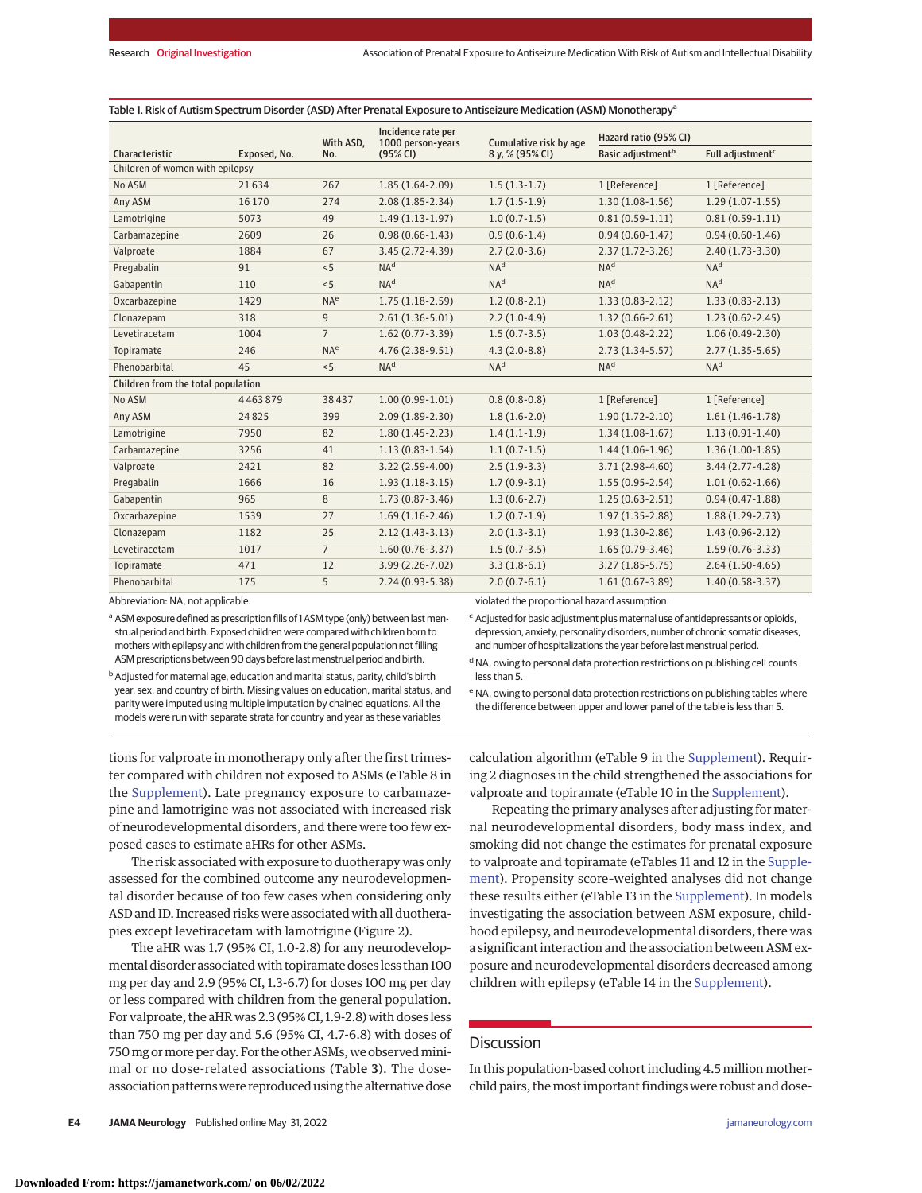|  |  | Table 1. Risk of Autism Spectrum Disorder (ASD) After Prenatal Exposure to Antiseizure Medication (ASM) Monotherapyª |
|--|--|----------------------------------------------------------------------------------------------------------------------|
|--|--|----------------------------------------------------------------------------------------------------------------------|

|                                    |              | With ASD,       | Incidence rate per<br>1000 person-years<br>Cumulative risk by age |                                              | Hazard ratio (95% CI)         |                              |
|------------------------------------|--------------|-----------------|-------------------------------------------------------------------|----------------------------------------------|-------------------------------|------------------------------|
| Characteristic                     | Exposed, No. | No.             | (95% CI)                                                          | 8 y, % (95% CI)                              | Basic adjustment <sup>b</sup> | Full adjustment <sup>c</sup> |
| Children of women with epilepsy    |              |                 |                                                                   |                                              |                               |                              |
| No ASM                             | 21634        | 267             | $1.85(1.64-2.09)$                                                 | $1.5(1.3-1.7)$                               | 1 [Reference]                 | 1 [Reference]                |
| Any ASM                            | 16 170       | 274             | $2.08(1.85 - 2.34)$                                               | $1.7(1.5-1.9)$                               | $1.30(1.08-1.56)$             | $1.29(1.07-1.55)$            |
| Lamotrigine                        | 5073         | 49              | $1.49(1.13-1.97)$                                                 | $1.0(0.7-1.5)$                               | $0.81(0.59-1.11)$             | $0.81(0.59-1.11)$            |
| Carbamazepine                      | 2609         | 26              | $0.98(0.66 - 1.43)$                                               | $0.9(0.6-1.4)$                               | $0.94(0.60-1.47)$             | $0.94(0.60-1.46)$            |
| Valproate                          | 1884         | 67              | $3.45(2.72 - 4.39)$                                               | $2.7(2.0-3.6)$                               | $2.37(1.72-3.26)$             | $2.40(1.73-3.30)$            |
| Pregabalin                         | 91           | < 5             | NA <sup>d</sup>                                                   | NA <sup>d</sup>                              | NA <sup>d</sup>               | NA <sup>d</sup>              |
| Gabapentin                         | 110          | < 5             | NA <sup>d</sup>                                                   | NA <sup>d</sup>                              | NA <sup>d</sup>               | NA <sup>d</sup>              |
| Oxcarbazepine                      | 1429         | NA <sup>e</sup> | $1.75(1.18-2.59)$                                                 | $1.2(0.8-2.1)$                               | $1.33(0.83 - 2.12)$           | $1.33(0.83 - 2.13)$          |
| Clonazepam                         | 318          | 9               | $2.61(1.36-5.01)$                                                 | $2.2(1.0-4.9)$                               | $1.32(0.66 - 2.61)$           | $1.23(0.62 - 2.45)$          |
| Levetiracetam                      | 1004         | $\overline{7}$  | $1.62(0.77-3.39)$                                                 | $1.5(0.7-3.5)$                               | $1.03(0.48-2.22)$             | $1.06(0.49-2.30)$            |
| Topiramate                         | 246          | NA <sup>e</sup> | 4.76 (2.38-9.51)                                                  | $4.3(2.0-8.8)$                               | $2.73(1.34-5.57)$             | $2.77(1.35-5.65)$            |
| Phenobarbital                      | 45           | < 5             | NA <sup>d</sup>                                                   | NA <sup>d</sup>                              | NA <sup>d</sup>               | NA <sup>d</sup>              |
| Children from the total population |              |                 |                                                                   |                                              |                               |                              |
| No ASM                             | 4463879      | 38437           | $1.00(0.99-1.01)$                                                 | $0.8(0.8-0.8)$                               | 1 [Reference]                 | 1 [Reference]                |
| Any ASM                            | 24825        | 399             | $2.09(1.89-2.30)$                                                 | $1.8(1.6-2.0)$                               | $1.90(1.72 - 2.10)$           | $1.61(1.46-1.78)$            |
| Lamotrigine                        | 7950         | 82              | $1.80(1.45-2.23)$                                                 | $1.4(1.1-1.9)$                               | $1.34(1.08-1.67)$             | $1.13(0.91-1.40)$            |
| Carbamazepine                      | 3256         | 41              | $1.13(0.83-1.54)$                                                 | $1.1(0.7-1.5)$                               | $1.44(1.06-1.96)$             | $1.36(1.00-1.85)$            |
| Valproate                          | 2421         | 82              | $3.22(2.59-4.00)$                                                 | $2.5(1.9-3.3)$                               | $3.71(2.98-4.60)$             | $3.44(2.77 - 4.28)$          |
| Pregabalin                         | 1666         | 16              | $1.93(1.18-3.15)$                                                 | $1.7(0.9-3.1)$                               | $1.55(0.95 - 2.54)$           | $1.01(0.62 - 1.66)$          |
| Gabapentin                         | 965          | 8               | $1.73(0.87 - 3.46)$                                               | $1.3(0.6-2.7)$                               | $1.25(0.63 - 2.51)$           | $0.94(0.47-1.88)$            |
| Oxcarbazepine                      | 1539         | 27              | $1.69(1.16-2.46)$                                                 | $1.2(0.7-1.9)$                               | $1.97(1.35 - 2.88)$           | $1.88(1.29-2.73)$            |
| Clonazepam                         | 1182         | 25              | $2.12(1.43-3.13)$                                                 | $2.0(1.3-3.1)$                               | $1.93(1.30-2.86)$             | $1.43(0.96-2.12)$            |
| Levetiracetam                      | 1017         | $\overline{7}$  | $1.60(0.76 - 3.37)$                                               | $1.5(0.7-3.5)$                               | $1.65(0.79-3.46)$             | $1.59(0.76 - 3.33)$          |
| Topiramate                         | 471          | 12              | 3.99 (2.26-7.02)                                                  | $3.3(1.8-6.1)$                               | $3.27(1.85 - 5.75)$           | $2.64(1.50-4.65)$            |
| Phenobarbital                      | 175          | 5               | $2.24(0.93 - 5.38)$                                               | $2.0(0.7-6.1)$                               | $1.61(0.67 - 3.89)$           | $1.40(0.58 - 3.37)$          |
| Abbreviation: NA, not applicable.  |              |                 |                                                                   | violated the proportional hazard assumption. |                               |                              |

Abbreviation: NA, not applicable.

a ASM exposure defined as prescription fills of 1 ASM type (only) between last menstrual period and birth. Exposed children were compared with children born to mothers with epilepsy and with children from the general population not filling ASM prescriptions between 90 days before last menstrual period and birth.

<sup>c</sup> Adjusted for basic adjustment plus maternal use of antidepressants or opioids, depression, anxiety, personality disorders, number of chronic somatic diseases, and number of hospitalizations the year before last menstrual period.

<sup>b</sup> Adjusted for maternal age, education and marital status, parity, child's birth year, sex, and country of birth. Missing values on education, marital status, and parity were imputed using multiple imputation by chained equations. All the models were run with separate strata for country and year as these variables

<sup>d</sup> NA, owing to personal data protection restrictions on publishing cell counts less than 5. <sup>e</sup> NA, owing to personal data protection restrictions on publishing tables where the difference between upper and lower panel of the table is less than 5.

tions for valproate in monotherapy only after the first trimester compared with children not exposed to ASMs (eTable 8 in the [Supplement\)](https://jamanetwork.com/journals/jama/fullarticle/10.1001/jamaneurol.2022.1269?utm_campaign=articlePDF%26utm_medium=articlePDFlink%26utm_source=articlePDF%26utm_content=jamaneurol.2022.1269). Late pregnancy exposure to carbamazepine and lamotrigine was not associated with increased risk of neurodevelopmental disorders, and there were too few exposed cases to estimate aHRs for other ASMs.

The risk associated with exposure to duotherapy was only assessed for the combined outcome any neurodevelopmental disorder because of too few cases when considering only ASD and ID. Increased risks were associated with all duotherapies except levetiracetam with lamotrigine (Figure 2).

The aHR was 1.7 (95% CI, 1.0-2.8) for any neurodevelopmental disorder associated with topiramate doses less than 100 mg per day and 2.9 (95% CI, 1.3-6.7) for doses 100 mg per day or less compared with children from the general population. For valproate, the aHR was 2.3 (95% CI, 1.9-2.8) with doses less than 750 mg per day and 5.6 (95% CI, 4.7-6.8) with doses of 750 mg or more per day. For the other ASMs, we observed minimal or no dose-related associations (Table 3). The doseassociation patterns were reproduced using the alternative dose

calculation algorithm (eTable 9 in the [Supplement\)](https://jamanetwork.com/journals/jama/fullarticle/10.1001/jamaneurol.2022.1269?utm_campaign=articlePDF%26utm_medium=articlePDFlink%26utm_source=articlePDF%26utm_content=jamaneurol.2022.1269). Requiring 2 diagnoses in the child strengthened the associations for valproate and topiramate (eTable 10 in the [Supplement\)](https://jamanetwork.com/journals/jama/fullarticle/10.1001/jamaneurol.2022.1269?utm_campaign=articlePDF%26utm_medium=articlePDFlink%26utm_source=articlePDF%26utm_content=jamaneurol.2022.1269).

Repeating the primary analyses after adjusting for maternal neurodevelopmental disorders, body mass index, and smoking did not change the estimates for prenatal exposure to valproate and topiramate (eTables 11 and 12 in the [Supple](https://jamanetwork.com/journals/jama/fullarticle/10.1001/jamaneurol.2022.1269?utm_campaign=articlePDF%26utm_medium=articlePDFlink%26utm_source=articlePDF%26utm_content=jamaneurol.2022.1269)[ment\)](https://jamanetwork.com/journals/jama/fullarticle/10.1001/jamaneurol.2022.1269?utm_campaign=articlePDF%26utm_medium=articlePDFlink%26utm_source=articlePDF%26utm_content=jamaneurol.2022.1269). Propensity score–weighted analyses did not change these results either (eTable 13 in the [Supplement\)](https://jamanetwork.com/journals/jama/fullarticle/10.1001/jamaneurol.2022.1269?utm_campaign=articlePDF%26utm_medium=articlePDFlink%26utm_source=articlePDF%26utm_content=jamaneurol.2022.1269). In models investigating the association between ASM exposure, childhood epilepsy, and neurodevelopmental disorders, there was a significant interaction and the association between ASM exposure and neurodevelopmental disorders decreased among children with epilepsy (eTable 14 in the [Supplement\)](https://jamanetwork.com/journals/jama/fullarticle/10.1001/jamaneurol.2022.1269?utm_campaign=articlePDF%26utm_medium=articlePDFlink%26utm_source=articlePDF%26utm_content=jamaneurol.2022.1269).

## **Discussion**

In this population-based cohort including 4.5 million motherchild pairs, the most important findings were robust and dose-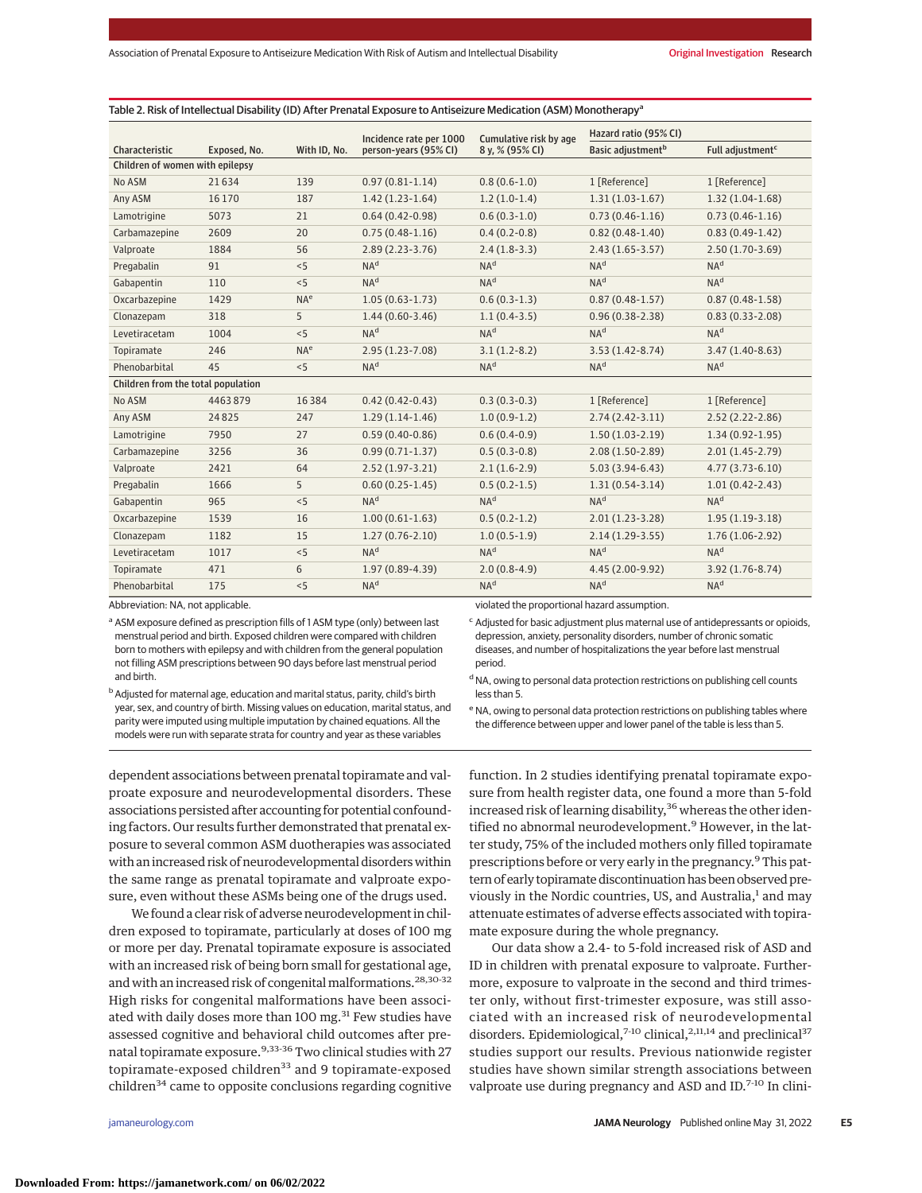|                                    |              |                 | Incidence rate per 1000 | Cumulative risk by age | Hazard ratio (95% CI)         |                              |
|------------------------------------|--------------|-----------------|-------------------------|------------------------|-------------------------------|------------------------------|
| Characteristic                     | Exposed, No. | With ID, No.    | person-years (95% CI)   | 8 y, % (95% CI)        | Basic adjustment <sup>b</sup> | Full adjustment <sup>c</sup> |
| Children of women with epilepsy    |              |                 |                         |                        |                               |                              |
| No ASM                             | 21634        | 139             | $0.97(0.81 - 1.14)$     | $0.8(0.6-1.0)$         | 1 [Reference]                 | 1 [Reference]                |
| Any ASM                            | 16 170       | 187             | $1.42(1.23-1.64)$       | $1.2(1.0-1.4)$         | $1.31(1.03-1.67)$             | $1.32(1.04-1.68)$            |
| Lamotrigine                        | 5073         | 21              | $0.64(0.42 - 0.98)$     | $0.6(0.3-1.0)$         | $0.73(0.46 - 1.16)$           | $0.73(0.46-1.16)$            |
| Carbamazepine                      | 2609         | 20              | $0.75(0.48-1.16)$       | $0.4(0.2-0.8)$         | $0.82(0.48-1.40)$             | $0.83(0.49-1.42)$            |
| Valproate                          | 1884         | 56              | $2.89(2.23-3.76)$       | $2.4(1.8-3.3)$         | $2.43(1.65-3.57)$             | $2.50(1.70-3.69)$            |
| Pregabalin                         | 91           | < 5             | NA <sup>d</sup>         | NA <sup>d</sup>        | NA <sup>d</sup>               | NA <sup>d</sup>              |
| Gabapentin                         | 110          | < 5             | NA <sup>d</sup>         | NA <sup>d</sup>        | NA <sup>d</sup>               | NA <sup>d</sup>              |
| Oxcarbazepine                      | 1429         | NA <sup>e</sup> | $1.05(0.63 - 1.73)$     | $0.6(0.3-1.3)$         | $0.87(0.48-1.57)$             | $0.87(0.48-1.58)$            |
| Clonazepam                         | 318          | 5               | $1.44(0.60-3.46)$       | $1.1(0.4-3.5)$         | $0.96(0.38 - 2.38)$           | $0.83(0.33 - 2.08)$          |
| Levetiracetam                      | 1004         | < 5             | NA <sup>d</sup>         | NA <sup>d</sup>        | NA <sup>d</sup>               | NA <sup>d</sup>              |
| Topiramate                         | 246          | NA <sup>e</sup> | $2.95(1.23 - 7.08)$     | $3.1(1.2-8.2)$         | $3.53(1.42 - 8.74)$           | $3.47(1.40-8.63)$            |
| Phenobarbital                      | 45           | < 5             | NA <sup>d</sup>         | NA <sup>d</sup>        | NA <sup>d</sup>               | NA <sup>d</sup>              |
| Children from the total population |              |                 |                         |                        |                               |                              |
| No ASM                             | 4463879      | 16384           | $0.42(0.42 - 0.43)$     | $0.3(0.3-0.3)$         | 1 [Reference]                 | 1 [Reference]                |
| Any ASM                            | 24825        | 247             | $1.29(1.14-1.46)$       | $1.0(0.9-1.2)$         | $2.74(2.42-3.11)$             | $2.52(2.22 - 2.86)$          |
| Lamotrigine                        | 7950         | 27              | $0.59(0.40-0.86)$       | $0.6(0.4-0.9)$         | $1.50(1.03-2.19)$             | $1.34(0.92 - 1.95)$          |
| Carbamazepine                      | 3256         | 36              | $0.99(0.71 - 1.37)$     | $0.5(0.3-0.8)$         | $2.08(1.50-2.89)$             | $2.01(1.45-2.79)$            |
| Valproate                          | 2421         | 64              | $2.52(1.97 - 3.21)$     | $2.1(1.6-2.9)$         | $5.03(3.94-6.43)$             | $4.77(3.73-6.10)$            |
| Pregabalin                         | 1666         | 5               | $0.60(0.25-1.45)$       | $0.5(0.2-1.5)$         | $1.31(0.54-3.14)$             | $1.01(0.42 - 2.43)$          |
| Gabapentin                         | 965          | < 5             | NA <sup>d</sup>         | NA <sup>d</sup>        | NA <sup>d</sup>               | NA <sup>d</sup>              |
| Oxcarbazepine                      | 1539         | 16              | $1.00(0.61 - 1.63)$     | $0.5(0.2-1.2)$         | $2.01(1.23-3.28)$             | $1.95(1.19-3.18)$            |
| Clonazepam                         | 1182         | 15              | $1.27(0.76 - 2.10)$     | $1.0(0.5-1.9)$         | $2.14(1.29-3.55)$             | $1.76(1.06-2.92)$            |
| Levetiracetam                      | 1017         | < 5             | NA <sup>d</sup>         | NA <sup>d</sup>        | NA <sup>d</sup>               | NA <sup>d</sup>              |
| Topiramate                         | 471          | 6               | 1.97 (0.89-4.39)        | $2.0(0.8-4.9)$         | 4.45 (2.00-9.92)              | $3.92(1.76-8.74)$            |
| Phenobarbital                      | 175          | < 5             | NA <sup>d</sup>         | NA <sup>d</sup>        | NA <sup>d</sup>               | NA <sup>d</sup>              |

Abbreviation: NA, not applicable.

a ASM exposure defined as prescription fills of 1 ASM type (only) between last menstrual period and birth. Exposed children were compared with children born to mothers with epilepsy and with children from the general population not filling ASM prescriptions between 90 days before last menstrual period and birth.

depression, anxiety, personality disorders, number of chronic somatic diseases, and number of hospitalizations the year before last menstrual period.

<sup>c</sup> Adjusted for basic adjustment plus maternal use of antidepressants or opioids,

b Adjusted for maternal age, education and marital status, parity, child's birth year, sex, and country of birth. Missing values on education, marital status, and parity were imputed using multiple imputation by chained equations. All the models were run with separate strata for country and year as these variables

<sup>d</sup> NA, owing to personal data protection restrictions on publishing cell counts less than 5.

e NA, owing to personal data protection restrictions on publishing tables where the difference between upper and lower panel of the table is less than 5.

dependent associations between prenatal topiramate and valproate exposure and neurodevelopmental disorders. These associations persisted after accounting for potential confounding factors. Our results further demonstrated that prenatal exposure to several common ASM duotherapies was associated with an increased risk of neurodevelopmental disorders within the same range as prenatal topiramate and valproate exposure, even without these ASMs being one of the drugs used.

We found a clear risk of adverse neurodevelopment in children exposed to topiramate, particularly at doses of 100 mg or more per day. Prenatal topiramate exposure is associated with an increased risk of being born small for gestational age, and with an increased risk of congenital malformations.<sup>28,30-32</sup> High risks for congenital malformations have been associated with daily doses more than 100 mg.<sup>31</sup> Few studies have assessed cognitive and behavioral child outcomes after prenatal topiramate exposure.<sup>9,33-36</sup> Two clinical studies with 27 topiramate-exposed children<sup>33</sup> and 9 topiramate-exposed children $34$  came to opposite conclusions regarding cognitive

function. In 2 studies identifying prenatal topiramate exposure from health register data, one found a more than 5-fold increased risk of learning disability,<sup>36</sup> whereas the other identified no abnormal neurodevelopment.<sup>9</sup> However, in the latter study, 75% of the included mothers only filled topiramate prescriptions before or very early in the pregnancy.<sup>9</sup> This pattern of early topiramate discontinuation has been observed previously in the Nordic countries, US, and Australia,<sup>1</sup> and may attenuate estimates of adverse effects associated with topiramate exposure during the whole pregnancy.

Our data show a 2.4- to 5-fold increased risk of ASD and ID in children with prenatal exposure to valproate. Furthermore, exposure to valproate in the second and third trimester only, without first-trimester exposure, was still associated with an increased risk of neurodevelopmental disorders. Epidemiological,<sup>7-10</sup> clinical,<sup>2,11,14</sup> and preclinical<sup>37</sup> studies support our results. Previous nationwide register studies have shown similar strength associations between valproate use during pregnancy and ASD and ID.<sup>7-10</sup> In clini-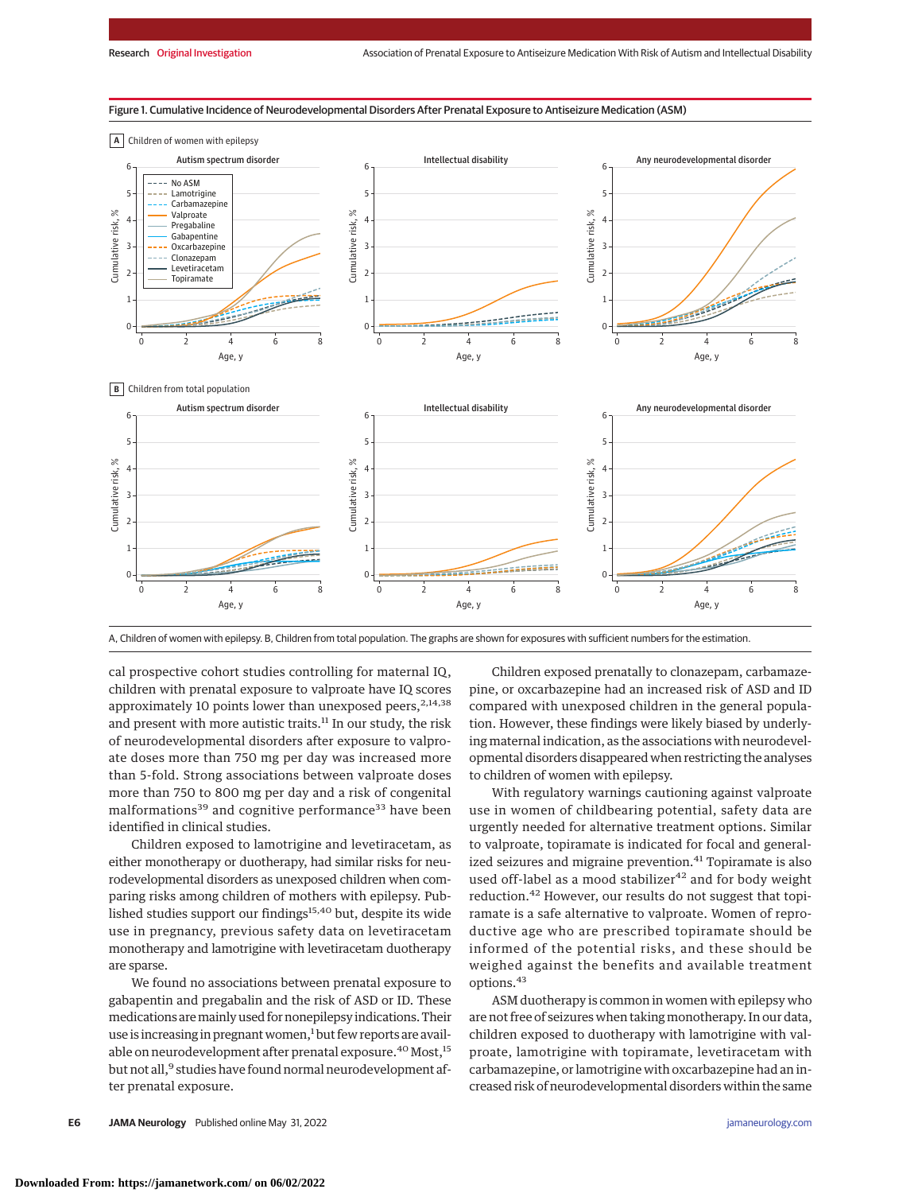#### Figure 1. Cumulative Incidence of Neurodevelopmental Disorders After Prenatal Exposure to Antiseizure Medication (ASM)



A, Children of women with epilepsy. B, Children from total population. The graphs are shown for exposures with sufficient numbers for the estimation.

cal prospective cohort studies controlling for maternal IQ, children with prenatal exposure to valproate have IQ scores approximately 10 points lower than unexposed peers,  $2,14,38$ and present with more autistic traits.<sup>11</sup> In our study, the risk of neurodevelopmental disorders after exposure to valproate doses more than 750 mg per day was increased more than 5-fold. Strong associations between valproate doses more than 750 to 800 mg per day and a risk of congenital malformations<sup>39</sup> and cognitive performance<sup>33</sup> have been identified in clinical studies.

Children exposed to lamotrigine and levetiracetam, as either monotherapy or duotherapy, had similar risks for neurodevelopmental disorders as unexposed children when comparing risks among children of mothers with epilepsy. Published studies support our findings<sup>15,40</sup> but, despite its wide use in pregnancy, previous safety data on levetiracetam monotherapy and lamotrigine with levetiracetam duotherapy are sparse.

We found no associations between prenatal exposure to gabapentin and pregabalin and the risk of ASD or ID. These medications aremainly used for nonepilepsy indications. Their use is increasing in pregnant women,<sup>1</sup> but few reports are available on neurodevelopment after prenatal exposure.<sup>40</sup> Most,<sup>15</sup> but not all,<sup>9</sup> studies have found normal neurodevelopment after prenatal exposure.

Children exposed prenatally to clonazepam, carbamazepine, or oxcarbazepine had an increased risk of ASD and ID compared with unexposed children in the general population. However, these findings were likely biased by underlying maternal indication, as the associations with neurodevelopmental disorders disappeared when restricting the analyses to children of women with epilepsy.

With regulatory warnings cautioning against valproate use in women of childbearing potential, safety data are urgently needed for alternative treatment options. Similar to valproate, topiramate is indicated for focal and generalized seizures and migraine prevention.<sup>41</sup> Topiramate is also used off-label as a mood stabilizer $42$  and for body weight reduction.<sup>42</sup> However, our results do not suggest that topiramate is a safe alternative to valproate. Women of reproductive age who are prescribed topiramate should be informed of the potential risks, and these should be weighed against the benefits and available treatment options.<sup>43</sup>

ASM duotherapy is common in women with epilepsy who are not free of seizures when taking monotherapy. In our data, children exposed to duotherapy with lamotrigine with valproate, lamotrigine with topiramate, levetiracetam with carbamazepine, or lamotrigine with oxcarbazepine had an increased risk of neurodevelopmental disorders within the same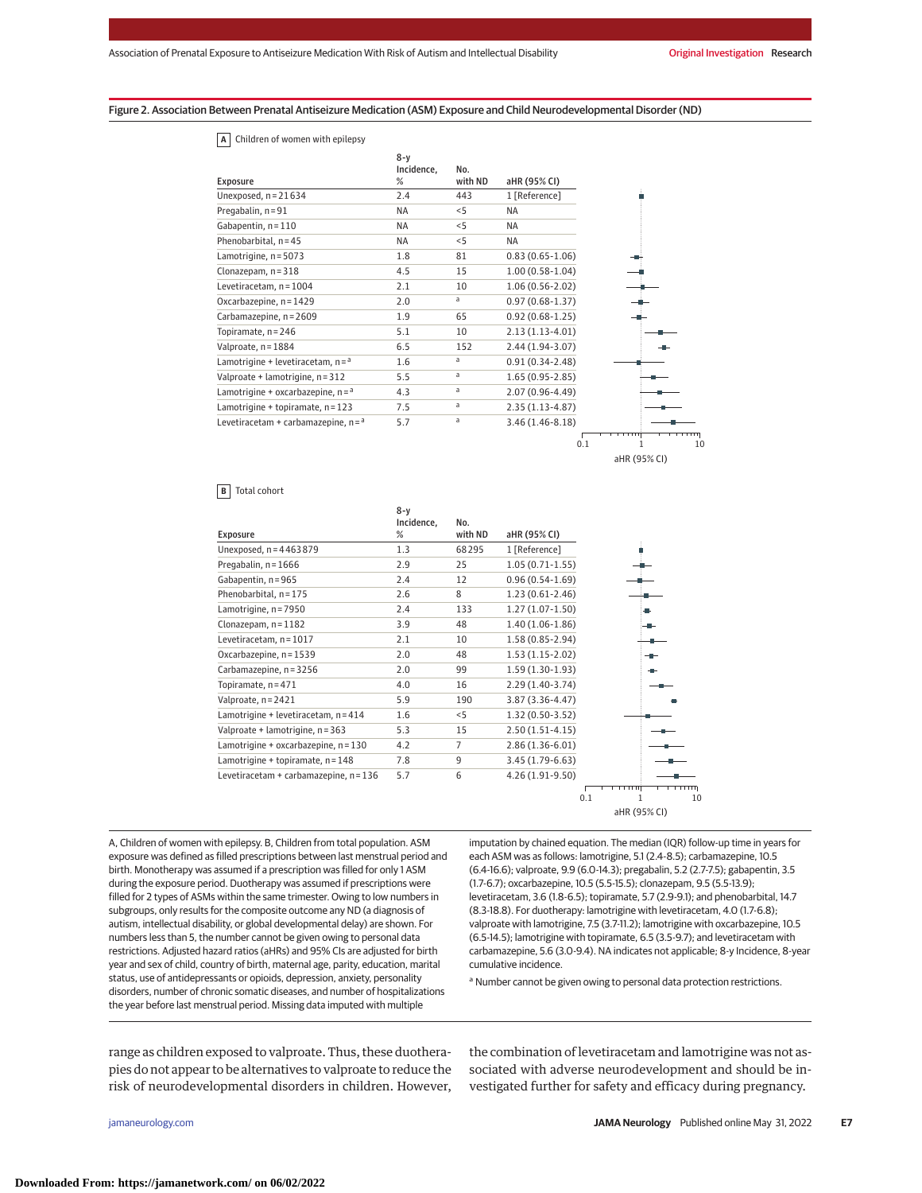Figure 2. Association Between Prenatal Antiseizure Medication (ASM) Exposure and Child Neurodevelopmental Disorder (ND)

#### **A** Children of women with epilepsy

|                                        | $8-y$<br>Incidence, | No.     |                     |                                   |
|----------------------------------------|---------------------|---------|---------------------|-----------------------------------|
| Exposure                               | %                   | with ND | aHR (95% CI)        |                                   |
| Unexposed, $n = 21634$                 | 2.4                 | 443     | 1 [Reference]       |                                   |
| Pregabalin, n = 91                     | <b>NA</b>           | < 5     | <b>NA</b>           |                                   |
| Gabapentin, n = 110                    | <b>NA</b>           | < 5     | NA                  |                                   |
| Phenobarbital, $n = 45$                | <b>NA</b>           | < 5     | <b>NA</b>           |                                   |
| Lamotrigine, n = 5073                  | 1.8                 | 81      | $0.83(0.65 - 1.06)$ |                                   |
| Clonazepam, $n = 318$                  | 4.5                 | 15      | $1.00(0.58-1.04)$   |                                   |
| Levetiracetam, n = 1004                | 2.1                 | 10      | $1.06(0.56 - 2.02)$ |                                   |
| Oxcarbazepine, n = 1429                | 2.0                 | a       | $0.97(0.68-1.37)$   |                                   |
| Carbamazepine, n = 2609                | 1.9                 | 65      | $0.92(0.68-1.25)$   |                                   |
| Topiramate, n = 246                    | 5.1                 | 10      | $2.13(1.13-4.01)$   |                                   |
| Valproate, n = 1884                    | 6.5                 | 152     | $2.44(1.94-3.07)$   |                                   |
| Lamotrigine + levetiracetam, $n = a$   | 1.6                 | a       | $0.91(0.34 - 2.48)$ |                                   |
| Valproate + lamotrigine, n = 312       | 5.5                 | a       | $1.65(0.95 - 2.85)$ |                                   |
| Lamotrigine + oxcarbazepine, $n = a$   | 4.3                 | a       | $2.07(0.96 - 4.49)$ |                                   |
| Lamotrigine + topiramate, n = 123      | 7.5                 | a       | $2.35(1.13-4.87)$   |                                   |
| Levetiracetam + carbamazepine, $n = a$ | 5.7                 | a       | $3.46(1.46 - 8.18)$ |                                   |
|                                        |                     |         | 0.1                 | <b>TITT</b><br>10<br>aHR (95% CI) |

#### **B** Total cohort

| Exposure                               | $8-y$<br>Incidence,<br>% | No.<br>with ND | aHR (95% CI)        |                      |
|----------------------------------------|--------------------------|----------------|---------------------|----------------------|
| Unexposed, n = 4463879                 | 1.3                      | 68295          | 1 [Reference]       |                      |
| Pregabalin, $n = 1666$                 | 2.9                      | 25             | $1.05(0.71-1.55)$   |                      |
| Gabapentin, n = 965                    | 2.4                      | 12             | $0.96(0.54-1.69)$   |                      |
| Phenobarbital, n = 175                 | 2.6                      | 8              | $1.23(0.61-2.46)$   |                      |
| Lamotrigine, n = 7950                  | 2.4                      | 133            | $1.27(1.07-1.50)$   |                      |
| Clonazepam, $n = 1182$                 | 3.9                      | 48             | $1.40(1.06-1.86)$   |                      |
| Levetiracetam, $n = 1017$              | 2.1                      | 10             | 1.58 (0.85-2.94)    |                      |
| Oxcarbazepine, n = 1539                | 2.0                      | 48             | $1.53(1.15-2.02)$   |                      |
| Carbamazepine, n = 3256                | 2.0                      | 99             | $1.59(1.30-1.93)$   |                      |
| Topiramate, n = 471                    | 4.0                      | 16             | $2.29(1.40-3.74)$   |                      |
| Valproate, n = 2421                    | 5.9                      | 190            | $3.87(3.36 - 4.47)$ |                      |
| Lamotrigine + levetiracetam, n = 414   | 1.6                      | < 5            | $1.32(0.50-3.52)$   |                      |
| Valproate + lamotrigine, n = 363       | 5.3                      | 15             | $2.50(1.51-4.15)$   |                      |
| Lamotrigine + oxcarbazepine, n = 130   | 4.2                      | 7              | $2.86(1.36-6.01)$   |                      |
| Lamotrigine + topiramate, $n = 148$    | 7.8                      | 9              | $3.45(1.79-6.63)$   |                      |
| Levetiracetam + carbamazepine, n = 136 | 5.7                      | 6              | 4.26 (1.91-9.50)    | <del>.</del><br>गगगग |
|                                        |                          |                |                     | 0.1<br>10<br>1       |

aHR (95% CI)

A, Children of women with epilepsy. B, Children from total population. ASM exposure was defined as filled prescriptions between last menstrual period and birth. Monotherapy was assumed if a prescription was filled for only 1 ASM during the exposure period. Duotherapy was assumed if prescriptions were filled for 2 types of ASMs within the same trimester. Owing to low numbers in subgroups, only results for the composite outcome any ND (a diagnosis of autism, intellectual disability, or global developmental delay) are shown. For numbers less than 5, the number cannot be given owing to personal data restrictions. Adjusted hazard ratios (aHRs) and 95% CIs are adjusted for birth year and sex of child, country of birth, maternal age, parity, education, marital status, use of antidepressants or opioids, depression, anxiety, personality disorders, number of chronic somatic diseases, and number of hospitalizations the year before last menstrual period. Missing data imputed with multiple

imputation by chained equation. The median (IQR) follow-up time in years for each ASM was as follows: lamotrigine, 5.1 (2.4-8.5); carbamazepine, 10.5 (6.4-16.6); valproate, 9.9 (6.0-14.3); pregabalin, 5.2 (2.7-7.5); gabapentin, 3.5 (1.7-6.7); oxcarbazepine, 10.5 (5.5-15.5); clonazepam, 9.5 (5.5-13.9); levetiracetam, 3.6 (1.8-6.5); topiramate, 5.7 (2.9-9.1); and phenobarbital, 14.7 (8.3-18.8). For duotherapy: lamotrigine with levetiracetam, 4.0 (1.7-6.8); valproate with lamotrigine, 7.5 (3.7-11.2); lamotrigine with oxcarbazepine, 10.5 (6.5-14.5); lamotrigine with topiramate, 6.5 (3.5-9.7); and levetiracetam with carbamazepine, 5.6 (3.0-9.4). NA indicates not applicable; 8-y Incidence, 8-year cumulative incidence.

<sup>a</sup> Number cannot be given owing to personal data protection restrictions.

range as children exposed to valproate. Thus, these duotherapies do not appear to be alternatives to valproate to reduce the risk of neurodevelopmental disorders in children. However,

the combination of levetiracetam and lamotrigine was not associated with adverse neurodevelopment and should be investigated further for safety and efficacy during pregnancy.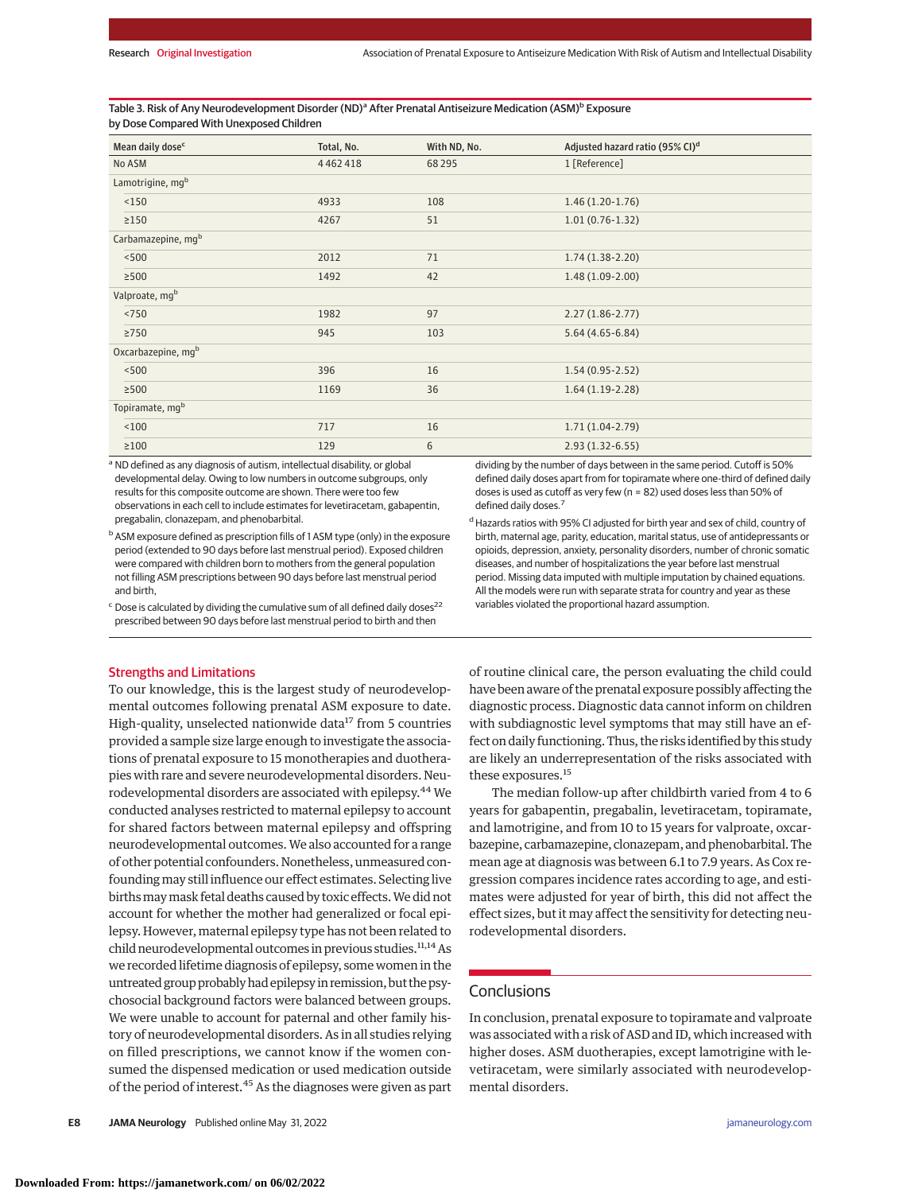Table 3. Risk of Any Neurodevelopment Disorder (ND)<sup>a</sup> After Prenatal Antiseizure Medication (ASM)<sup>b</sup> Exposure by Dose Compared With Unexposed Children

| Mean daily dose <sup>c</sup> | Total, No. | With ND, No. | Adjusted hazard ratio (95% CI) <sup>d</sup> |
|------------------------------|------------|--------------|---------------------------------------------|
| No ASM                       | 4462418    | 68295        | 1 [Reference]                               |
| Lamotrigine, mgb             |            |              |                                             |
| < 150                        | 4933       | 108          | $1.46(1.20-1.76)$                           |
| $\geq$ 150                   | 4267       | 51           | $1.01(0.76-1.32)$                           |
| Carbamazepine, mgb           |            |              |                                             |
| < 500                        | 2012       | 71           | $1.74(1.38-2.20)$                           |
| $\geq$ 500                   | 1492       | 42           | $1.48(1.09-2.00)$                           |
| Valproate, mg <sup>b</sup>   |            |              |                                             |
| < 750                        | 1982       | 97           | $2.27(1.86 - 2.77)$                         |
| $\geq$ 750                   | 945        | 103          | $5.64(4.65-6.84)$                           |
| Oxcarbazepine, mgb           |            |              |                                             |
| < 500                        | 396        | 16           | $1.54(0.95-2.52)$                           |
| $\geq 500$                   | 1169       | 36           | $1.64(1.19-2.28)$                           |
| Topiramate, mgb              |            |              |                                             |
| < 100                        | 717        | 16           | $1.71(1.04-2.79)$                           |
| $\geq 100$                   | 129        | 6            | $2.93(1.32-6.55)$                           |

a ND defined as any diagnosis of autism, intellectual disability, or global developmental delay. Owing to low numbers in outcome subgroups, only results for this composite outcome are shown. There were too few observations in each cell to include estimates for levetiracetam, gabapentin, pregabalin, clonazepam, and phenobarbital.

 $c$  Dose is calculated by dividing the cumulative sum of all defined daily doses<sup>22</sup> prescribed between 90 days before last menstrual period to birth and then

#### Strengths and Limitations

To our knowledge, this is the largest study of neurodevelopmental outcomes following prenatal ASM exposure to date. High-quality, unselected nationwide data<sup>17</sup> from 5 countries provided a sample size large enough to investigate the associations of prenatal exposure to 15 monotherapies and duotherapies with rare and severe neurodevelopmental disorders. Neurodevelopmental disorders are associated with epilepsy.44 We conducted analyses restricted to maternal epilepsy to account for shared factors between maternal epilepsy and offspring neurodevelopmental outcomes. We also accounted for a range of other potential confounders. Nonetheless, unmeasured confoundingmay still influence our effect estimates. Selecting live birthsmaymask fetal deaths caused by toxic effects.We did not account for whether the mother had generalized or focal epilepsy. However, maternal epilepsy type has not been related to child neurodevelopmental outcomes in previous studies.<sup>11,14</sup> As we recorded lifetime diagnosis of epilepsy, some women in the untreated group probably had epilepsy in remission, but the psychosocial background factors were balanced between groups. We were unable to account for paternal and other family history of neurodevelopmental disorders. As in all studies relying on filled prescriptions, we cannot know if the women consumed the dispensed medication or used medication outside of the period of interest.<sup>45</sup> As the diagnoses were given as part

dividing by the number of days between in the same period. Cutoff is 50% defined daily doses apart from for topiramate where one-third of defined daily doses is used as cutoff as very few (n = 82) used doses less than 50% of defined daily doses.<sup>7</sup>

<sup>d</sup> Hazards ratios with 95% CI adjusted for birth year and sex of child, country of birth, maternal age, parity, education, marital status, use of antidepressants or opioids, depression, anxiety, personality disorders, number of chronic somatic diseases, and number of hospitalizations the year before last menstrual period. Missing data imputed with multiple imputation by chained equations. All the models were run with separate strata for country and year as these variables violated the proportional hazard assumption.

of routine clinical care, the person evaluating the child could have been aware of the prenatal exposure possibly affecting the diagnostic process. Diagnostic data cannot inform on children with subdiagnostic level symptoms that may still have an effect on daily functioning. Thus, the risks identified by this study are likely an underrepresentation of the risks associated with these exposures.15

The median follow-up after childbirth varied from 4 to 6 years for gabapentin, pregabalin, levetiracetam, topiramate, and lamotrigine, and from 10 to 15 years for valproate, oxcarbazepine, carbamazepine, clonazepam, and phenobarbital. The mean age at diagnosis was between 6.1 to 7.9 years. As Cox regression compares incidence rates according to age, and estimates were adjusted for year of birth, this did not affect the effect sizes, but it may affect the sensitivity for detecting neurodevelopmental disorders.

## **Conclusions**

In conclusion, prenatal exposure to topiramate and valproate was associated with a risk of ASD and ID, which increased with higher doses. ASM duotherapies, except lamotrigine with levetiracetam, were similarly associated with neurodevelopmental disorders.

b ASM exposure defined as prescription fills of 1 ASM type (only) in the exposure period (extended to 90 days before last menstrual period). Exposed children were compared with children born to mothers from the general population not filling ASM prescriptions between 90 days before last menstrual period and birth,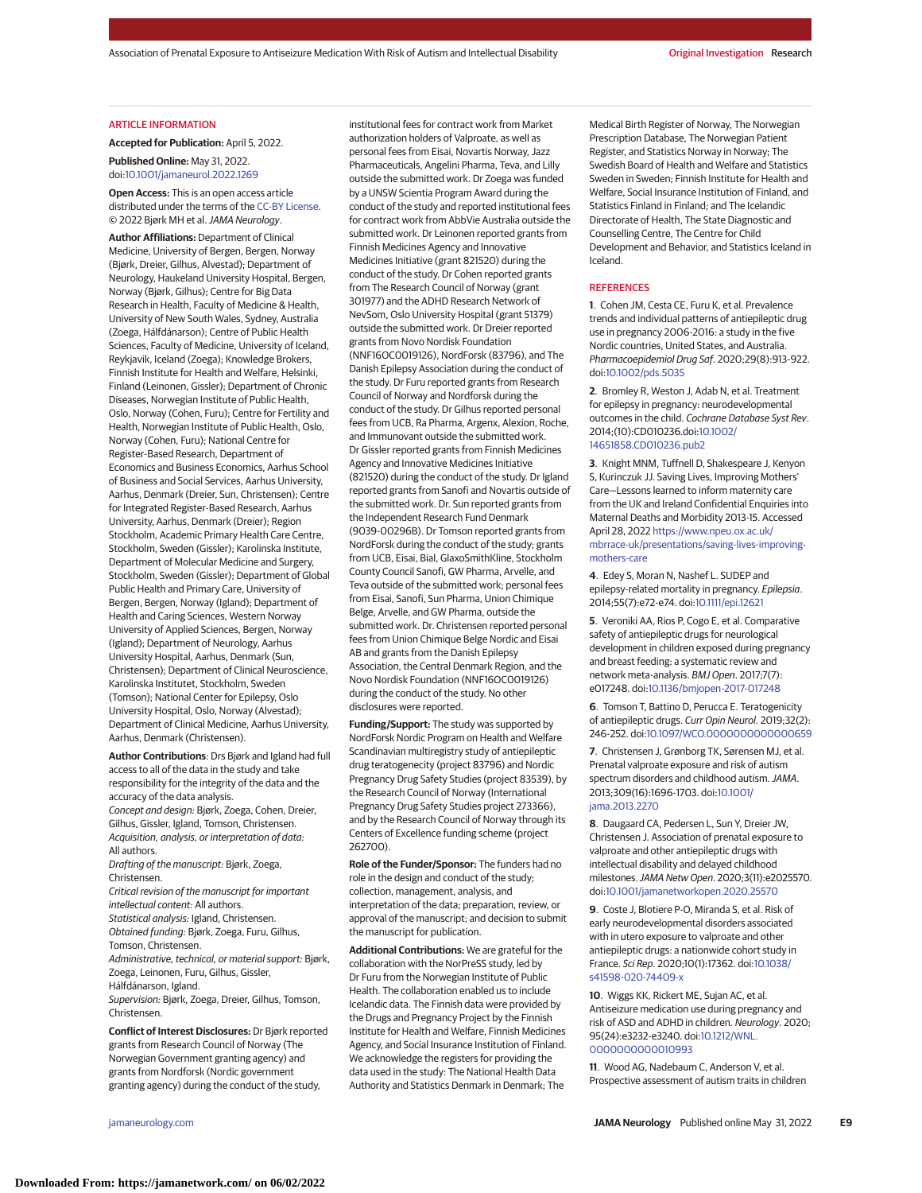#### ARTICLE INFORMATION

**Accepted for Publication:** April 5, 2022.

#### **Published Online:** May 31, 2022. doi[:10.1001/jamaneurol.2022.1269](https://jamanetwork.com/journals/jama/fullarticle/10.1001/jamaneurol.2022.1269?utm_campaign=articlePDF%26utm_medium=articlePDFlink%26utm_source=articlePDF%26utm_content=jamaneurol.2022.1269)

**Open Access:** This is an open access article distributed under the terms of the [CC-BY License.](https://jamanetwork.com/pages/cc-by-license-permissions?utm_campaign=articlePDF%26utm_medium=articlePDFlink%26utm_source=articlePDF%26utm_content=jamaneurol.2022.1269) © 2022 Bjørk MH et al.JAMA Neurology.

**Author Affiliations:** Department of Clinical Medicine, University of Bergen, Bergen, Norway (Bjørk, Dreier, Gilhus, Alvestad); Department of Neurology, Haukeland University Hospital, Bergen, Norway (Bjørk, Gilhus); Centre for Big Data Research in Health, Faculty of Medicine & Health, University of New South Wales, Sydney, Australia (Zoega, Hálfdánarson); Centre of Public Health Sciences, Faculty of Medicine, University of Iceland, Reykjavik, Iceland (Zoega); Knowledge Brokers, Finnish Institute for Health and Welfare, Helsinki, Finland (Leinonen, Gissler); Department of Chronic Diseases, Norwegian Institute of Public Health, Oslo, Norway (Cohen, Furu); Centre for Fertility and Health, Norwegian Institute of Public Health, Oslo, Norway (Cohen, Furu); National Centre for Register-Based Research, Department of Economics and Business Economics, Aarhus School of Business and Social Services, Aarhus University, Aarhus, Denmark (Dreier, Sun, Christensen); Centre for Integrated Register-Based Research, Aarhus University, Aarhus, Denmark (Dreier); Region Stockholm, Academic Primary Health Care Centre, Stockholm, Sweden (Gissler); Karolinska Institute, Department of Molecular Medicine and Surgery, Stockholm, Sweden (Gissler); Department of Global Public Health and Primary Care, University of Bergen, Bergen, Norway (Igland); Department of Health and Caring Sciences, Western Norway University of Applied Sciences, Bergen, Norway (Igland); Department of Neurology, Aarhus University Hospital, Aarhus, Denmark (Sun, Christensen); Department of Clinical Neuroscience, Karolinska Institutet, Stockholm, Sweden (Tomson); National Center for Epilepsy, Oslo University Hospital, Oslo, Norway (Alvestad); Department of Clinical Medicine, Aarhus University, Aarhus, Denmark (Christensen).

**Author Contributions**: Drs Bjørk and Igland had full access to all of the data in the study and take responsibility for the integrity of the data and the accuracy of the data analysis. Concept and design: Bjørk, Zoega, Cohen, Dreier,

Gilhus, Gissler, Igland, Tomson, Christensen. Acquisition, analysis, or interpretation of data: All authors.

Drafting of the manuscript: Bjørk, Zoega, Christensen.

Critical revision of the manuscript for important intellectual content: All authors. Statistical analysis: Igland, Christensen. Obtained funding: Bjørk, Zoega, Furu, Gilhus, Tomson, Christensen.

Administrative, technical, or material support: Bjørk, Zoega, Leinonen, Furu, Gilhus, Gissler, Hálfdánarson, Igland.

Supervision: Bjørk, Zoega, Dreier, Gilhus, Tomson, Christensen.

**Conflict of Interest Disclosures:** Dr Bjørk reported grants from Research Council of Norway (The Norwegian Government granting agency) and grants from Nordforsk (Nordic government granting agency) during the conduct of the study,

institutional fees for contract work from Market authorization holders of Valproate, as well as personal fees from Eisai, Novartis Norway, Jazz Pharmaceuticals, Angelini Pharma, Teva, and Lilly outside the submitted work. Dr Zoega was funded by a UNSW Scientia Program Award during the conduct of the study and reported institutional fees for contract work from AbbVie Australia outside the submitted work. Dr Leinonen reported grants from Finnish Medicines Agency and Innovative Medicines Initiative (grant 821520) during the conduct of the study. Dr Cohen reported grants from The Research Council of Norway (grant 301977) and the ADHD Research Network of NevSom, Oslo University Hospital (grant 51379) outside the submitted work. Dr Dreier reported grants from Novo Nordisk Foundation (NNF16OC0019126), NordForsk (83796), and The Danish Epilepsy Association during the conduct of the study. Dr Furu reported grants from Research Council of Norway and Nordforsk during the conduct of the study. Dr Gilhus reported personal fees from UCB, Ra Pharma, Argenx, Alexion, Roche, and Immunovant outside the submitted work. Dr Gissler reported grants from Finnish Medicines Agency and Innovative Medicines Initiative (821520) during the conduct of the study. Dr Igland reported grants from Sanofi and Novartis outside of the submitted work. Dr. Sun reported grants from the Independent Research Fund Denmark (9039-00296B). Dr Tomson reported grants from NordForsk during the conduct of the study; grants from UCB, Eisai, Bial, GlaxoSmithKline, Stockholm County Council Sanofi, GW Pharma, Arvelle, and Teva outside of the submitted work; personal fees from Eisai, Sanofi, Sun Pharma, Union Chimique Belge, Arvelle, and GW Pharma, outside the submitted work. Dr. Christensen reported personal fees from Union Chimique Belge Nordic and Eisai AB and grants from the Danish Epilepsy Association, the Central Denmark Region, and the Novo Nordisk Foundation (NNF16OC0019126) during the conduct of the study. No other disclosures were reported.

**Funding/Support:** The study was supported by NordForsk Nordic Program on Health and Welfare Scandinavian multiregistry study of antiepileptic drug teratogenecity (project 83796) and Nordic Pregnancy Drug Safety Studies (project 83539), by the Research Council of Norway (International Pregnancy Drug Safety Studies project 273366), and by the Research Council of Norway through its Centers of Excellence funding scheme (project 262700).

**Role of the Funder/Sponsor:** The funders had no role in the design and conduct of the study; collection, management, analysis, and interpretation of the data; preparation, review, or approval of the manuscript; and decision to submit the manuscript for publication.

**Additional Contributions:** We are grateful for the collaboration with the NorPreSS study, led by Dr Furu from the Norwegian Institute of Public Health. The collaboration enabled us to include Icelandic data. The Finnish data were provided by the Drugs and Pregnancy Project by the Finnish Institute for Health and Welfare, Finnish Medicines Agency, and Social Insurance Institution of Finland. We acknowledge the registers for providing the data used in the study: The National Health Data Authority and Statistics Denmark in Denmark; The

Medical Birth Register of Norway, The Norwegian Prescription Database, The Norwegian Patient Register, and Statistics Norway in Norway; The Swedish Board of Health and Welfare and Statistics Sweden in Sweden; Finnish Institute for Health and Welfare, Social Insurance Institution of Finland, and Statistics Finland in Finland; and The Icelandic Directorate of Health, The State Diagnostic and Counselling Centre, The Centre for Child Development and Behavior, and Statistics Iceland in Iceland.

#### **REFERENCES**

**1**. Cohen JM, Cesta CE, Furu K, et al. Prevalence trends and individual patterns of antiepileptic drug use in pregnancy 2006-2016: a study in the five Nordic countries, United States, and Australia. Pharmacoepidemiol Drug Saf. 2020;29(8):913-922. doi[:10.1002/pds.5035](https://dx.doi.org/10.1002/pds.5035)

**2**. Bromley R, Weston J, Adab N, et al. Treatment for epilepsy in pregnancy: neurodevelopmental outcomes in the child. Cochrane Database Syst Rev. 2014;(10):CD010236.doi[:10.1002/](https://dx.doi.org/10.1002/14651858.CD010236.pub2) [14651858.CD010236.pub2](https://dx.doi.org/10.1002/14651858.CD010236.pub2)

**3**. Knight MNM, Tuffnell D, Shakespeare J, Kenyon S, Kurinczuk JJ. Saving Lives, Improving Mothers' Care—Lessons learned to inform maternity care from the UK and Ireland Confidential Enquiries into Maternal Deaths and Morbidity 2013-15. Accessed April 28, 2022 [https://www.npeu.ox.ac.uk/](https://www.npeu.ox.ac.uk/mbrrace-uk/presentations/saving-lives-improving-mothers-care) [mbrrace-uk/presentations/saving-lives-improving](https://www.npeu.ox.ac.uk/mbrrace-uk/presentations/saving-lives-improving-mothers-care)[mothers-care](https://www.npeu.ox.ac.uk/mbrrace-uk/presentations/saving-lives-improving-mothers-care)

**4**. Edey S, Moran N, Nashef L. SUDEP and epilepsy-related mortality in pregnancy. Epilepsia. 2014;55(7):e72-e74. doi[:10.1111/epi.12621](https://dx.doi.org/10.1111/epi.12621)

**5**. Veroniki AA, Rios P, Cogo E, et al. Comparative safety of antiepileptic drugs for neurological development in children exposed during pregnancy and breast feeding: a systematic review and network meta-analysis. BMJ Open. 2017;7(7): e017248. doi[:10.1136/bmjopen-2017-017248](https://dx.doi.org/10.1136/bmjopen-2017-017248)

**6**. Tomson T, Battino D, Perucca E. Teratogenicity of antiepileptic drugs. Curr Opin Neurol. 2019;32(2): 246-252. doi[:10.1097/WCO.0000000000000659](https://dx.doi.org/10.1097/WCO.0000000000000659)

**7**. Christensen J, Grønborg TK, Sørensen MJ, et al. Prenatal valproate exposure and risk of autism spectrum disorders and childhood autism. JAMA. 2013;309(16):1696-1703. doi[:10.1001/](https://jamanetwork.com/journals/jama/fullarticle/10.1001/jama.2013.2270?utm_campaign=articlePDF%26utm_medium=articlePDFlink%26utm_source=articlePDF%26utm_content=jamaneurol.2022.1269) [jama.2013.2270](https://jamanetwork.com/journals/jama/fullarticle/10.1001/jama.2013.2270?utm_campaign=articlePDF%26utm_medium=articlePDFlink%26utm_source=articlePDF%26utm_content=jamaneurol.2022.1269)

**8**. Daugaard CA, Pedersen L, Sun Y, Dreier JW, Christensen J. Association of prenatal exposure to valproate and other antiepileptic drugs with intellectual disability and delayed childhood milestones.JAMA Netw Open. 2020;3(11):e2025570. doi[:10.1001/jamanetworkopen.2020.25570](https://jamanetwork.com/journals/jama/fullarticle/10.1001/jamanetworkopen.2020.25570?utm_campaign=articlePDF%26utm_medium=articlePDFlink%26utm_source=articlePDF%26utm_content=jamaneurol.2022.1269)

**9**. Coste J, Blotiere P-O, Miranda S, et al. Risk of early neurodevelopmental disorders associated with in utero exposure to valproate and other antiepileptic drugs: a nationwide cohort study in France. Sci Rep. 2020;10(1):17362. doi[:10.1038/](https://dx.doi.org/10.1038/s41598-020-74409-x) [s41598-020-74409-x](https://dx.doi.org/10.1038/s41598-020-74409-x)

**10**. Wiggs KK, Rickert ME, Sujan AC, et al. Antiseizure medication use during pregnancy and risk of ASD and ADHD in children. Neurology. 2020; 95(24):e3232-e3240. doi[:10.1212/WNL.](https://dx.doi.org/10.1212/WNL.0000000000010993) [0000000000010993](https://dx.doi.org/10.1212/WNL.0000000000010993)

**11**. Wood AG, Nadebaum C, Anderson V, et al. Prospective assessment of autism traits in children